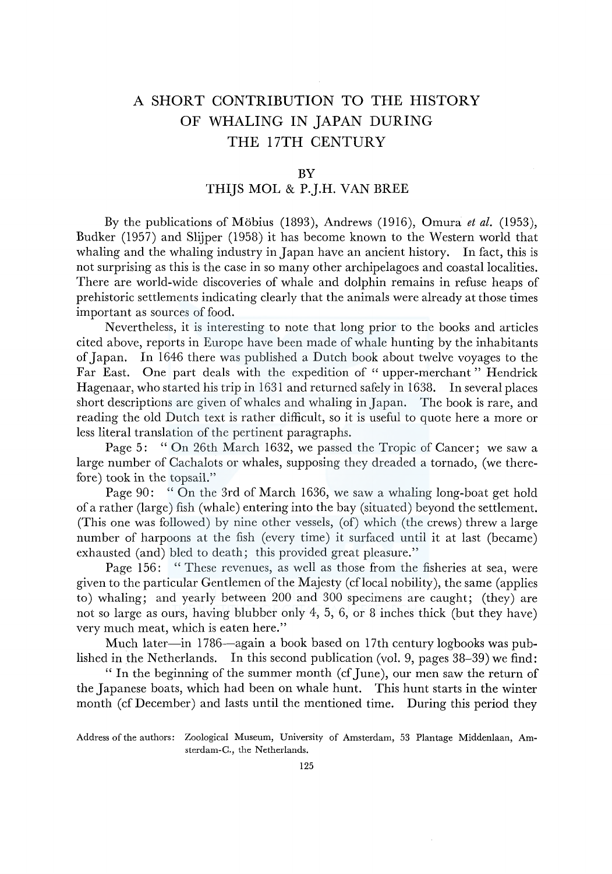## A SHORT CONTRIBUTION TO THE HISTORY OF WHALING IN JAPAN DURING THE 17TH CENTURY

## BY

## THIJS MOL & P.J.H. VAN BREE

By the publications of Mobius (1893), Andrews (1916), Omura *et al.* (1953), Budker (1957) and Slijper (1958) it has become known to the Western world that whaling and the whaling industry in Japan have an ancient history. In fact, this is not surprising as this is the case in so many other archipelagoes and coastal localities. There are world-wide discoveries of whale and dolphin remains in refuse heaps of prehistoric settlements indicating clearly that the animals were already at those times important as sources of food.

Nevertheless, it is interesting to note that long prior to the books and articles cited above, reports in Europe have been made of whale hunting by the inhabitants of Japan. In 1646 there was published a Dutch book about twelve voyages to the Far East. One part deals with the expedition of " upper-merchant " Hendrick Hagenaar, who started his trip in 1631 and returned safely in 1638. In several places short descriptions are given of whales and whaling in Japan. The book is rare, and reading the old Dutch text is rather difficult, so it is useful to quote here a more or less literal translation of the pertinent paragraphs.

Page 5: " On 26th March 1632, we passed the Tropic of Cancer; we saw a large number of Cachalots or whales, supposing they dreaded a tornado, (we therefore) took in the topsail."

Page 90: " On the 3rd of March 1636, we saw a whaling long-boat get hold of a rather (large) fish (whale) entering into the bay (situated) beyond the settlement. (This one was followed) by nine other vessels, (of) which (the crews) threw a large number of harpoons at the fish (every time) it surfaced until it at last (became) exhausted (and) bled to death; this provided great pleasure."

Page 156: " These revenues, as well as those from the fisheries at sea, were given to the particular Gentlemen of the Majesty (cflocal nobility), the same (applies to) whaling; and yearly between 200 and 300 specimens are caught; (they) are not so large as ours, having blubber only 4, 5, 6, or 8 inches thick (but they have) very much meat, which is eaten here."

Much later—in 1786—again a book based on 17th century logbooks was published in the Netherlands. In this second publication (vol. 9, pages 38-39) we find:

"In the beginning of the summer month (cf June), our men saw the return of the Japanese boats, which had been on whale hunt. This hunt starts in the winter month (cf December) and lasts until the mentioned time. During this period they

Address of the authors: Zoological Museum, University of Amsterdam, 53 Plantage Middenlaan, Amsterdam-C., the Netherlands.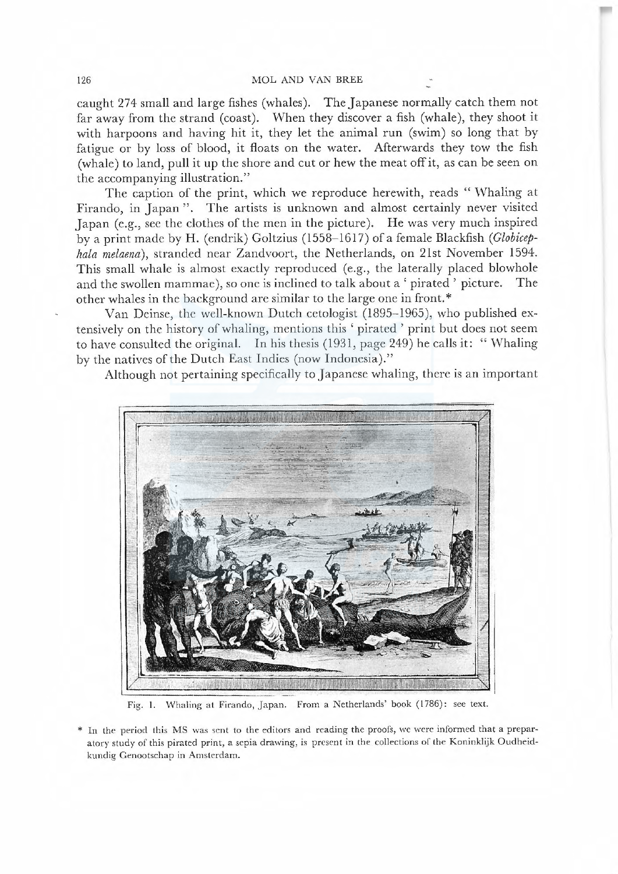caught 274 small and large fishes (whales). The Japanese normally catch them not far away from the strand (coast). W hen they discover a fish (whale), they shoot it with harpoons and having hit it, they let the animal run (swim) so long that by fatigue or by loss of blood, it floats on the water. Afterwards they tow the fish (whale) to land, pull it up the shore and cut or hew the meat off it, as can be seen on the accompanying illustration."

The caption of the print, which we reproduce herewith, reads "Whaling at Firando, in Japan". The artists is unknown and almost certainly never visited Japan (e.g., see the clothes of the men in the picture). He was very much inspired by a print made by H. (endrik) Goltzius (1558–1617) of a female Blackfish (Globicephala melaena), stranded near Zandvoort, the Netherlands, on 21st November 1594. This small whale is almost exactly reproduced (e.g., the laterally placed blowhole and the swollen mammae), so one is inclined to talk about a 'pirated' picture. The other whales in the background are similar to the large one in front.\*

Van Deinse, the well-known Dutch cetologist (1895–1965), who published extensively on the history of whaling, mentions this 'pirated' print but does not seem to have consulted the original. In his thesis  $(1931, \text{page } 249)$  he calls it: "Whaling by the natives of the Dutch East Indies (now Indonesia)."

Although not pertaining specifically to Japanese whaling, there is an important



Fig. 1. Whaling at Firando, Japan. From a Netherlands' book (1786): see text.

\* ln the period this MS was sent to the editors and reading the proofs, we were informed that a prepar atory study of this pirated print, a sepia drawing, is present in the collections of the Koninklijk Oudheidkundig Genootschap in Amsterdam.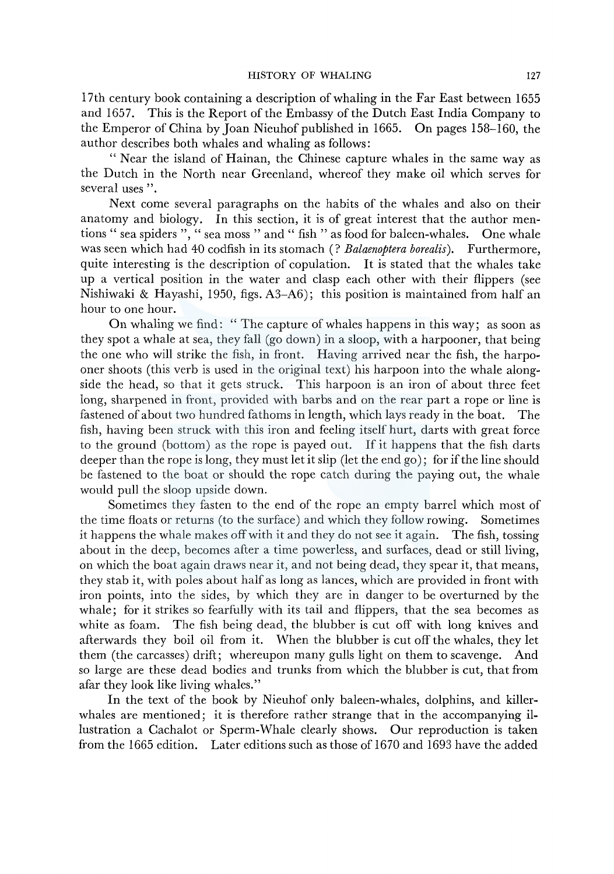l 7th century book containing a description of whaling in the Far East between 1655 and 1657. This is the Report of the Embassy of the Dutch East India Company to the Emperor of China by Joan Nieuhof published in 1665. On pages 158-160, the author describes both whales and whaling as follows:

"Near the island of Hainan, the Chinese capture whales in the same way as the Dutch in the North near Greenland, whereof they make oil which serves for several uses".

Next come several paragraphs on the habits of the whales and also on their anatomy and biology. In this section, it is of great interest that the author mentions " sea spiders ", " sea moss " and " fish " as food for baleen-whales. One whale was seen which had 40 codfish in its stomach (? *Balaenoptera borealis).* Furthermore, quite interesting is the description of copulation. It is stated that the whales take up a vertical position in the water and clasp each other with their flippers (see Nishiwaki & Hayashi, 1950, figs. A3-A6); this position is maintained from half an hour to one hour.

On whaling we find: " The capture of whales happens in this way; as soon as they spot a whale at sea, they fall (go down) in a sloop, with a harpooner, that being the one who will strike the fish, in front. Having arrived near the fish, the harpooner shoots (this verb is used in the original text) his harpoon into the whale alongside the head, so that it gets struck. This harpoon is an iron of about three feet long, sharpened in front, provided with barbs and on the rear part a rope or line is fastened of about two hundred fathoms in length, which lays ready in the boat. The fish, having been struck with this iron and feeling itself hurt, darts with great force to the ground (bottom) as the rope is payed out. If it happens that the fish darts deeper than the rope is long, they must let it slip (let the end go); for if the line should be fastened to the boat or should the rope catch during the paying out, the whale would pull the sloop upside down.

Sometimes they fasten to the end of the rope an empty barrel which most of the time floats or returns (to the surface) and which they follow rowing. Sometimes it happens the whale makes off with it and they do not see it again. The fish, tossing about in the deep, becomes after a time powerless, and surfaces, dead or still living, on which the boat again draws near it, and not being dead, they spear it, that means, they stab it, with poles about half as long as lances, which are provided in front with iron points, into the sides, by which they are in danger to be overturned by the whale; for it strikes so fearfully with its tail and flippers, that the sea becomes as white as foam. The fish being dead, the blubber is cut off with long knives and afterwards they boil oil from it. When the blubber is cut off the whales, they let them (the carcasses) drift; whereupon many gulls light on them to scavenge. And so large are these dead bodies and trunks from which the blubber is cut, that from afar they look like living whales."

In the text of the book by Nieuhof only baleen-whales, dolphins, and killerwhales are mentioned; it is therefore rather strange that in the accompanying illustration a Cachalot or Sperm-Whale clearly shows. Our reproduction is taken from the 1665 edition. Later editions such as those of 1670 and 1693 have the added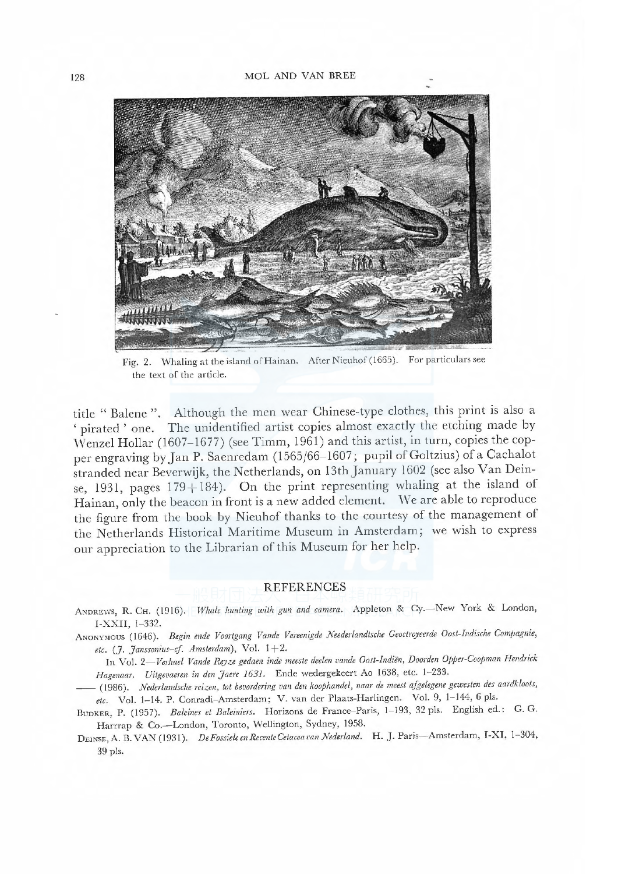

Whaling at the island of Hainan. After Nieuhof (1665). For particulars see Fig. 2. the text of the article.

title "Balene". Although the men wear Chinese-type clothes, this print is also a 'pirated' one. The unidentified artist copies almost exactly the etching made by Wenzel Hollar (1607-1677) (see Timm, 1961) and this artist, in turn, copies the copper engraving by Jan P. Saenredam (1565/66-1607; pupil of Goltzius) of a Cachalot stranded near Beverwijk, the Netherlands, on 13th January 1602 (see also Van Deinse, 1931, pages  $179+184$ ). On the print representing whaling at the island of Hainan, only the beacon in front is a new added element. We are able to reproduce the figure from the book by Nieuhof thanks to the courtesy of the management of the Netherlands Historical Maritime Museum in Amsterdam; we wish to express our appreciation to the Librarian of this Museum for her help.

## **REFERENCES**

ANDREWS, R. CH. (1916). Whale hunting with gun and camera. Appleton & Cy .- New York & London, I-XXII, 1-332.

ANONYMOUS (1646). Begin ende Voortgang Vande Vereenigde Neederlandtsche Geoctroyeerde Oost-Indische Compagnie, etc. (J. Janssonius-cf. Amsterdam), Vol. 1+2.

In Vol. 2-Verhael Vande Reyze gedaen inde meeste deelen vande Oost-Indiën, Doorden Opper-Coopman Hendrick Hagenaar. Uitgevaeren in den Jaere 1631. Ende wedergekeert Ao 1638, etc. 1-233.

(1986). Nederlandsche reizen, tot bevordering van den koophandel, naar de meest afgelegene gewesten des aardkloots, etc. Vol. 1-14. P. Conradi-Amsterdam; V. van der Plaats-Harlingen. Vol. 9, 1-144, 6 pls.

BUDKER, P. (1957). Baleines et Baleiniers. Horizons de France-Paris, 1-193, 32 pls. English ed.: G. G. Harrrap & Co.-London, Toronto, Wellington, Sydney, 1958.

DEINSE, A. B. VAN (1931). De Fossiele en Recente Cetacea van Nederland. H. J. Paris-Amsterdam, I-XI, 1-304, 39 pls.